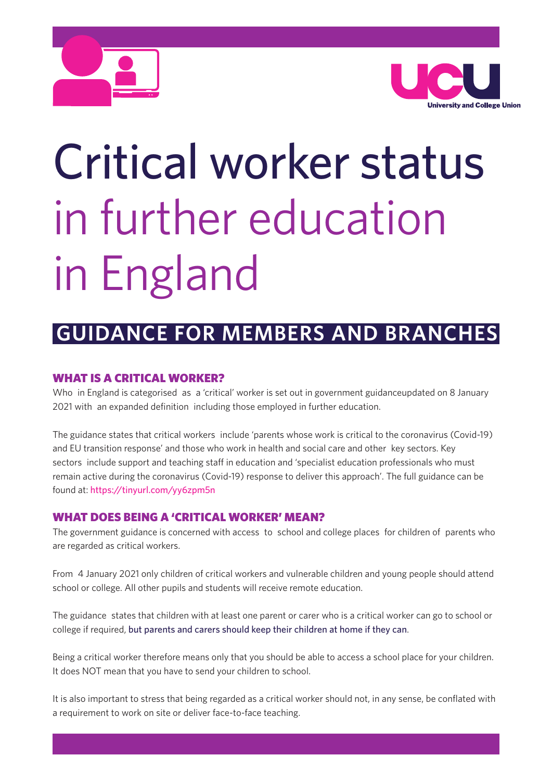



# Critical worker status in further education in England

# **GUIDANCE FOR MEMBERS AND BRANCHES**

# **WHAT IS A CRITICAL WORKER?**

Who in England is categorised as a 'critical' worker is set out in government guidanceupdated on 8 January 2021 with an expanded definition including those employed in further education.

The guidance states that critical workers include 'parents whose work is critical to the coronavirus (Covid-19) and EU transition response' and those who work in health and social care and other key sectors. Key sectors include support and teaching staff in education and 'specialist education professionals who must remain active during the coronavirus (Covid-19) response to deliver this approach'. The full guidance can be found at: https://tinyurl.com/yy6zpm5n

## **WHAT DOES BEING A 'CRITICAL WORKER' MEAN?**

The government guidance is concerned with access to school and college places for children of parents who are regarded as critical workers.

From 4 January 2021 only children of critical workers and vulnerable children and young people should attend school or college. All other pupils and students will receive remote education.

The guidance states that children with at least one parent or carer who is a critical worker can go to school or college if required, but parents and carers should keep their children at home if they can.

Being a critical worker therefore means only that you should be able to access a school place for your children. It does NOT mean that you have to send your children to school.

It is also important to stress that being regarded as a critical worker should not, in any sense, be conflated with a requirement to work on site or deliver face-to-face teaching.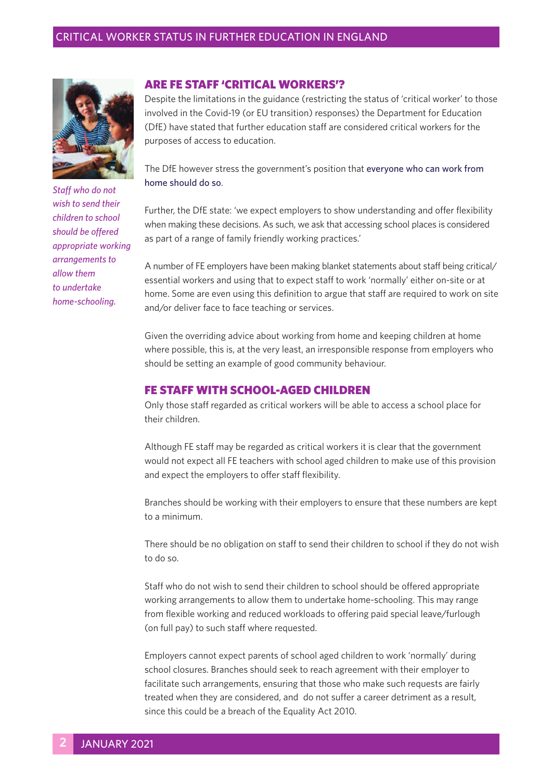#### CRITICAL WORKER STATUS IN FURTHER EDUCATION IN ENGLAND



*Staff who do not wish to send their children to school should be offered appropriate working arrangements to allow them to undertake home-schooling.*

#### **ARE FE STAFF 'CRITICAL WORKERS'?**

Despite the limitations in the guidance (restricting the status of 'critical worker' to those involved in the Covid-19 (or EU transition) responses) the Department for Education (DfE) have stated that further education staff are considered critical workers for the purposes of access to education.

The DfE however stress the government's position that everyone who can work from home should do so.

Further, the DfE state: 'we expect employers to show understanding and offer flexibility when making these decisions. As such, we ask that accessing school places is considered as part of a range of family friendly working practices.'

A number of FE employers have been making blanket statements about staff being critical/ essential workers and using that to expect staff to work 'normally' either on-site or at home. Some are even using this definition to argue that staff are required to work on site and/or deliver face to face teaching or services.

Given the overriding advice about working from home and keeping children at home where possible, this is, at the very least, an irresponsible response from employers who should be setting an example of good community behaviour.

#### **FE STAFF WITH SCHOOL-AGED CHILDREN**

Only those staff regarded as critical workers will be able to access a school place for their children.

Although FE staff may be regarded as critical workers it is clear that the government would not expect all FE teachers with school aged children to make use of this provision and expect the employers to offer staff flexibility.

Branches should be working with their employers to ensure that these numbers are kept to a minimum.

There should be no obligation on staff to send their children to school if they do not wish to do so.

Staff who do not wish to send their children to school should be offered appropriate working arrangements to allow them to undertake home-schooling. This may range from flexible working and reduced workloads to offering paid special leave/furlough (on full pay) to such staff where requested.

Employers cannot expect parents of school aged children to work 'normally' during school closures. Branches should seek to reach agreement with their employer to facilitate such arrangements, ensuring that those who make such requests are fairly treated when they are considered, and do not suffer a career detriment as a result, since this could be a breach of the Equality Act 2010.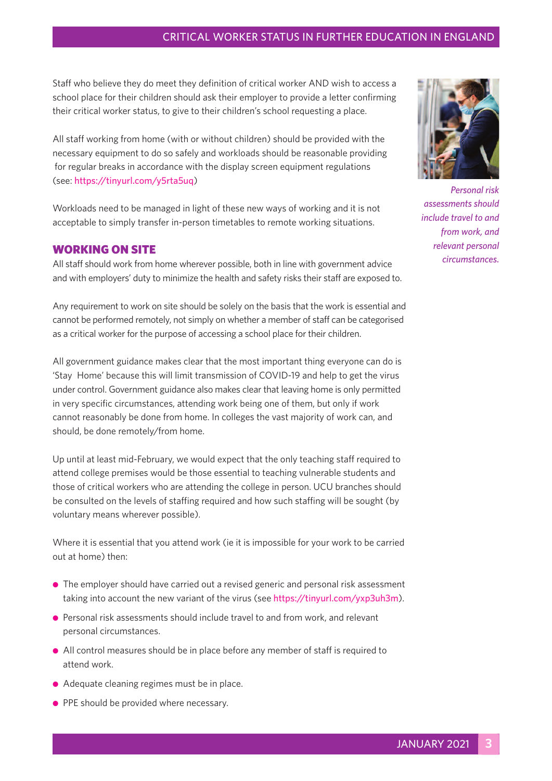#### CRITICAL WORKER STATUS IN FURTHER EDUCATION IN ENGLAND

Staff who believe they do meet they definition of critical worker AND wish to access a school place for their children should ask their employer to provide a letter confirming their critical worker status, to give to their children's school requesting a place.

All staff working from home (with or without children) should be provided with the necessary equipment to do so safely and workloads should be reasonable providing for regular breaks in accordance with the display screen equipment regulations (see: https://tinyurl.com/y5rta5uq)

Workloads need to be managed in light of these new ways of working and it is not acceptable to simply transfer in-person timetables to remote working situations.

#### **WORKING ON SITE**

All staff should work from home wherever possible, both in line with government advice and with employers' duty to minimize the health and safety risks their staff are exposed to.

Any requirement to work on site should be solely on the basis that the work is essential and cannot be performed remotely, not simply on whether a member of staff can be categorised as a critical worker for the purpose of accessing a school place for their children.

All government guidance makes clear that the most important thing everyone can do is 'Stay Home' because this will limit transmission of COVID-19 and help to get the virus under control. Government guidance also makes clear that leaving home is only permitted in very specific circumstances, attending work being one of them, but only if work cannot reasonably be done from home. In colleges the vast majority of work can, and should, be done remotely/from home.

Up until at least mid-February, we would expect that the only teaching staff required to attend college premises would be those essential to teaching vulnerable students and those of critical workers who are attending the college in person. UCU branches should be consulted on the levels of staffing required and how such staffing will be sought (by voluntary means wherever possible).

Where it is essential that you attend work (ie it is impossible for your work to be carried out at home) then:

- The employer should have carried out a revised generic and personal risk assessment taking into account the new variant of the virus (see https://tinyurl.com/yxp3uh3m).
- **•** Personal risk assessments should include travel to and from work, and relevant personal circumstances.
- <sup>l</sup> All control measures should be in place before any member of staff is required to attend work.
- Adequate cleaning regimes must be in place.
- **PPE should be provided where necessary.**



*Personal risk assessments should include travel to and from work, and relevant personal circumstances.*